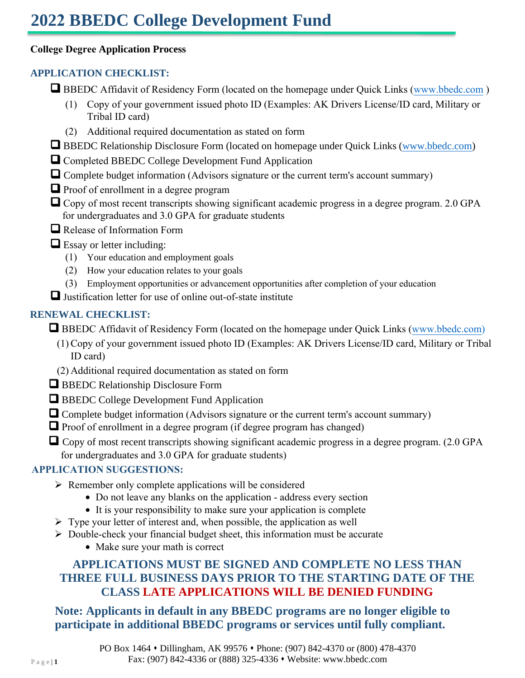# **2022 BBEDC College Development Fund**

#### **College Degree Application Process**

## **APPLICATION CHECKLIST:**

- BBEDC Affidavit of Residency Form (located on the homepage under Quick Links (www.bbedc.com)
	- (1) Copy of your government issued photo ID (Examples: AK Drivers License/ID card, Military or Tribal ID card)
	- (2) Additional required documentation as stated on form
- □ BBEDC Relationship Disclosure Form (located on homepage under Quick Links [\(www.bbedc.com\)](http://www.bbedc.com/)
- ❑ Completed BBEDC College Development Fund Application
- □ Complete budget information (Advisors signature or the current term's account summary)
- Proof of enrollment in a degree program
- $\Box$  Copy of most recent transcripts showing significant academic progress in a degree program. 2.0 GPA for undergraduates and 3.0 GPA for graduate students
- ❑ Release of Information Form
- $\Box$  Essay or letter including:
	- (1) Your education and employment goals
	- (2) How your education relates to your goals
	- (3) Employment opportunities or advancement opportunities after completion of your education

❑ Justification letter for use of online out-of-state institute

# **RENEWAL CHECKLIST:**

■ BBEDC Affidavit of Residency Form (located on the homepage under Quick Links (www.bbedc.com)

- (1) Copy of your government issued photo ID (Examples: AK Drivers License/ID card, Military or Tribal ID card)
- (2) Additional required documentation as stated on form
- BBEDC Relationship Disclosure Form
- ❑ BBEDC College Development Fund Application
- □ Complete budget information (Advisors signature or the current term's account summary)
- $\Box$  Proof of enrollment in a degree program (if degree program has changed)
- Copy of most recent transcripts showing significant academic progress in a degree program. (2.0 GPA for undergraduates and 3.0 GPA for graduate students)

### **APPLICATION SUGGESTIONS:**

- $\triangleright$  Remember only complete applications will be considered
	- Do not leave any blanks on the application address every section
	- It is your responsibility to make sure your application is complete
- $\triangleright$  Type your letter of interest and, when possible, the application as well
- $\triangleright$  Double-check your financial budget sheet, this information must be accurate
	- Make sure your math is correct

# **APPLICATIONS MUST BE SIGNED AND COMPLETE NO LESS THAN THREE FULL BUSINESS DAYS PRIOR TO THE STARTING DATE OF THE CLASS LATE APPLICATIONS WILL BE DENIED FUNDING**

**Note: Applicants in default in any BBEDC programs are no longer eligible to participate in additional BBEDC programs or services until fully compliant.**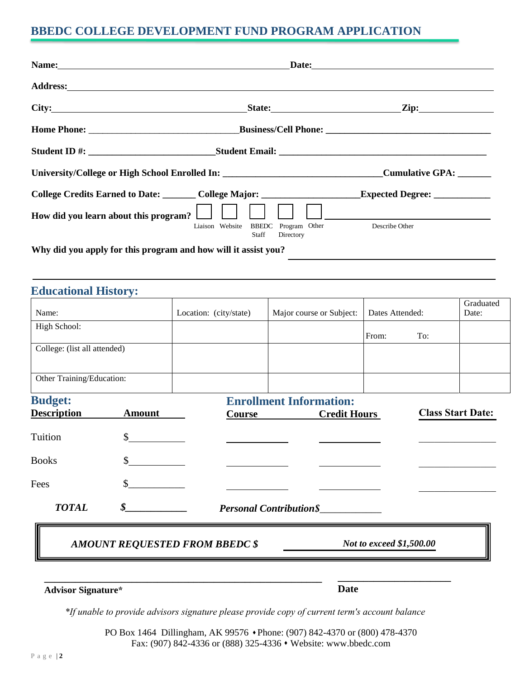# **BBEDC COLLEGE DEVELOPMENT FUND PROGRAM APPLICATION**

| Address: No. 2016. The Committee of the Committee of the Committee of the Committee of the Committee of the Committee of the Committee of the Committee of the Committee of the Committee of the Committee of the Committee of |                                                                     |                         |
|--------------------------------------------------------------------------------------------------------------------------------------------------------------------------------------------------------------------------------|---------------------------------------------------------------------|-------------------------|
|                                                                                                                                                                                                                                |                                                                     | State: <u>Zip:</u> Zip: |
|                                                                                                                                                                                                                                |                                                                     |                         |
|                                                                                                                                                                                                                                |                                                                     |                         |
| University/College or High School Enrolled In: _________________________________Cumulative GPA: __________                                                                                                                     |                                                                     |                         |
| College Credits Earned to Date: College Major: Expected Degree: College Credits Earned to Date:                                                                                                                                |                                                                     |                         |
| How did you learn about this program? $\Box$ $\Box$ $\Box$                                                                                                                                                                     | BBEDC Program Other<br>Liaison Website<br><b>Staff</b><br>Directory | Describe Other          |
| Why did you apply for this program and how will it assist you?                                                                                                                                                                 |                                                                     |                         |

# **Educational History:** Name: Location: (city/state) Major course or Subject: Dates Attended: Graduated Date: High School: From: To: College: (list all attended) Other Training/Education: **Budget: Enrollment Information: Description Amount Course Credit Hours** Tuition \$ Books \$ Fees *TOTAL*  $\mathbb{S}$ *\$\_\_\_\_\_\_\_\_\_\_\_\_ Personal Contribution\$*\_\_\_\_\_\_\_\_\_\_\_\_ **Class Start Date:**  $\mathcal{L}$  , we have the set of the set of the set of the set of the set of the set of the set of the set of the set of the set of the set of the set of the set of the set of the set of the set of the set of the set of the  $\mathcal{L}$  , we have the set of the set of the set of the set of the set of the set of the set of the set of the set of the set of the set of the set of the set of the set of the set of the set of the set of the set of the

#### *AMOUNT REQUESTED FROM BBEDC \$ Not to exceed \$1,500.00*

**\_\_\_\_\_\_\_\_\_\_\_\_\_\_\_\_\_\_\_\_\_\_\_\_\_\_\_\_\_\_\_\_\_\_\_\_\_\_\_\_\_\_\_\_\_\_\_\_\_\_\_\_\_\_** 

**\_\_\_\_\_\_\_\_\_\_\_\_\_\_\_\_\_\_\_\_\_\_**

#### **Advisor Signature\***

**Date** 

*\*If unable to provide advisors signature please provide copy of current term's account balance*

PO Box 1464 Dillingham, AK 99576 • Phone: (907) 842-4370 or (800) 478-4370 Fax: (907) 842-4336 or (888) 325-4336 ⬧ Website: www.bbedc.com